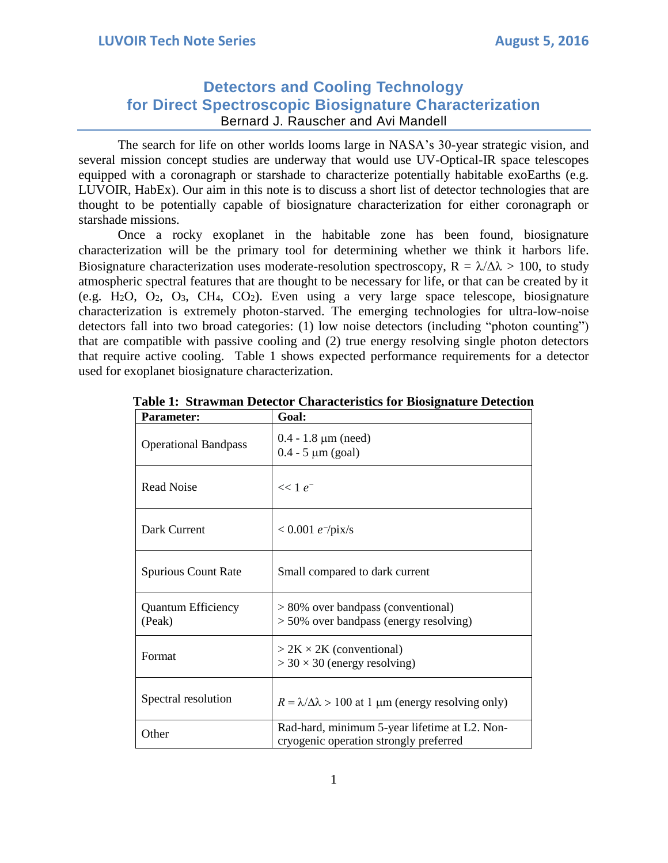# **Detectors and Cooling Technology for Direct Spectroscopic Biosignature Characterization** Bernard J. Rauscher and Avi Mandell

The search for life on other worlds looms large in NASA's 30-year strategic vision, and several mission concept studies are underway that would use UV-Optical-IR space telescopes equipped with a coronagraph or starshade to characterize potentially habitable exoEarths (e.g. LUVOIR, HabEx). Our aim in this note is to discuss a short list of detector technologies that are thought to be potentially capable of biosignature characterization for either coronagraph or starshade missions.

Once a rocky exoplanet in the habitable zone has been found, biosignature characterization will be the primary tool for determining whether we think it harbors life. Biosignature characterization uses moderate-resolution spectroscopy,  $R = \lambda/\Delta\lambda > 100$ , to study atmospheric spectral features that are thought to be necessary for life, or that can be created by it (e.g. H<sub>2</sub>O, O<sub>2</sub>, O<sub>3</sub>, CH<sub>4</sub>, CO<sub>2</sub>). Even using a very large space telescope, biosignature characterization is extremely photon-starved. The emerging technologies for ultra-low-noise detectors fall into two broad categories: (1) low noise detectors (including "photon counting") that are compatible with passive cooling and (2) true energy resolving single photon detectors that require active cooling. Table 1 shows expected performance requirements for a detector used for exoplanet biosignature characterization.

| <b>Parameter:</b>                   | Goal:                                                                                   |  |  |  |  |
|-------------------------------------|-----------------------------------------------------------------------------------------|--|--|--|--|
| <b>Operational Bandpass</b>         | $0.4 - 1.8 \mu m$ (need)<br>$0.4 - 5 \mu m$ (goal)                                      |  |  |  |  |
| Read Noise                          | $<< 1 e^{-}$                                                                            |  |  |  |  |
| Dark Current                        | $< 0.001 e^-$ /pix/s                                                                    |  |  |  |  |
| <b>Spurious Count Rate</b>          | Small compared to dark current                                                          |  |  |  |  |
| <b>Quantum Efficiency</b><br>(Peak) | > 80% over bandpass (conventional)<br>> 50% over bandpass (energy resolving)            |  |  |  |  |
| Format                              | $> 2K \times 2K$ (conventional)<br>$>$ 30 $\times$ 30 (energy resolving)                |  |  |  |  |
| Spectral resolution                 | $R = \lambda/\Delta\lambda > 100$ at 1 µm (energy resolving only)                       |  |  |  |  |
| Other                               | Rad-hard, minimum 5-year lifetime at L2. Non-<br>cryogenic operation strongly preferred |  |  |  |  |

|  | Table 1: Strawman Detector Characteristics for Biosignature Detection |  |  |  |  |  |  |  |
|--|-----------------------------------------------------------------------|--|--|--|--|--|--|--|
|--|-----------------------------------------------------------------------|--|--|--|--|--|--|--|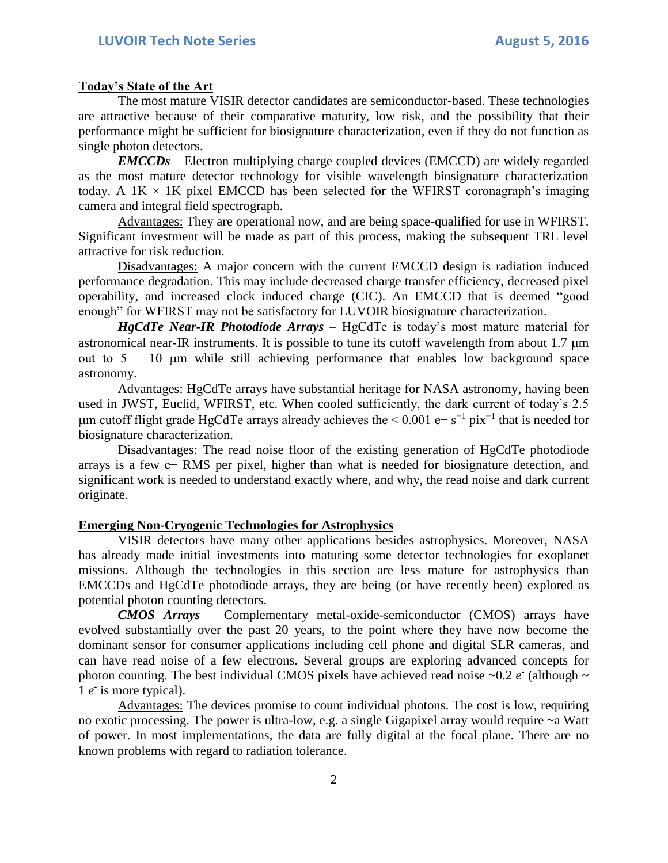### **Today's State of the Art**

The most mature VISIR detector candidates are semiconductor-based. These technologies are attractive because of their comparative maturity, low risk, and the possibility that their performance might be sufficient for biosignature characterization, even if they do not function as single photon detectors.

*EMCCDs* – Electron multiplying charge coupled devices (EMCCD) are widely regarded as the most mature detector technology for visible wavelength biosignature characterization today. A  $1K \times 1K$  pixel EMCCD has been selected for the WFIRST coronagraph's imaging camera and integral field spectrograph.

Advantages: They are operational now, and are being space-qualified for use in WFIRST. Significant investment will be made as part of this process, making the subsequent TRL level attractive for risk reduction.

Disadvantages: A major concern with the current EMCCD design is radiation induced performance degradation. This may include decreased charge transfer efficiency, decreased pixel operability, and increased clock induced charge (CIC). An EMCCD that is deemed "good enough" for WFIRST may not be satisfactory for LUVOIR biosignature characterization.

*HgCdTe Near-IR Photodiode Arrays* – HgCdTe is today's most mature material for astronomical near-IR instruments. It is possible to tune its cutoff wavelength from about 1.7  $\mu$ m out to  $5 - 10$  µm while still achieving performance that enables low background space astronomy.

Advantages: HgCdTe arrays have substantial heritage for NASA astronomy, having been used in JWST, Euclid, WFIRST, etc. When cooled sufficiently, the dark current of today's 2.5 µm cutoff flight grade HgCdTe arrays already achieves the  $\leq 0.001$  e− s<sup>-1</sup> pix<sup>-1</sup> that is needed for biosignature characterization.

Disadvantages: The read noise floor of the existing generation of HgCdTe photodiode arrays is a few e− RMS per pixel, higher than what is needed for biosignature detection, and significant work is needed to understand exactly where, and why, the read noise and dark current originate.

## **Emerging Non-Cryogenic Technologies for Astrophysics**

VISIR detectors have many other applications besides astrophysics. Moreover, NASA has already made initial investments into maturing some detector technologies for exoplanet missions. Although the technologies in this section are less mature for astrophysics than EMCCDs and HgCdTe photodiode arrays, they are being (or have recently been) explored as potential photon counting detectors.

*CMOS Arrays* – Complementary metal-oxide-semiconductor (CMOS) arrays have evolved substantially over the past 20 years, to the point where they have now become the dominant sensor for consumer applications including cell phone and digital SLR cameras, and can have read noise of a few electrons. Several groups are exploring advanced concepts for photon counting. The best individual CMOS pixels have achieved read noise  $\sim 0.2$  *e* (although  $\sim$ 1 *e* is more typical).

Advantages: The devices promise to count individual photons. The cost is low, requiring no exotic processing. The power is ultra-low, e.g. a single Gigapixel array would require ~a Watt of power. In most implementations, the data are fully digital at the focal plane. There are no known problems with regard to radiation tolerance.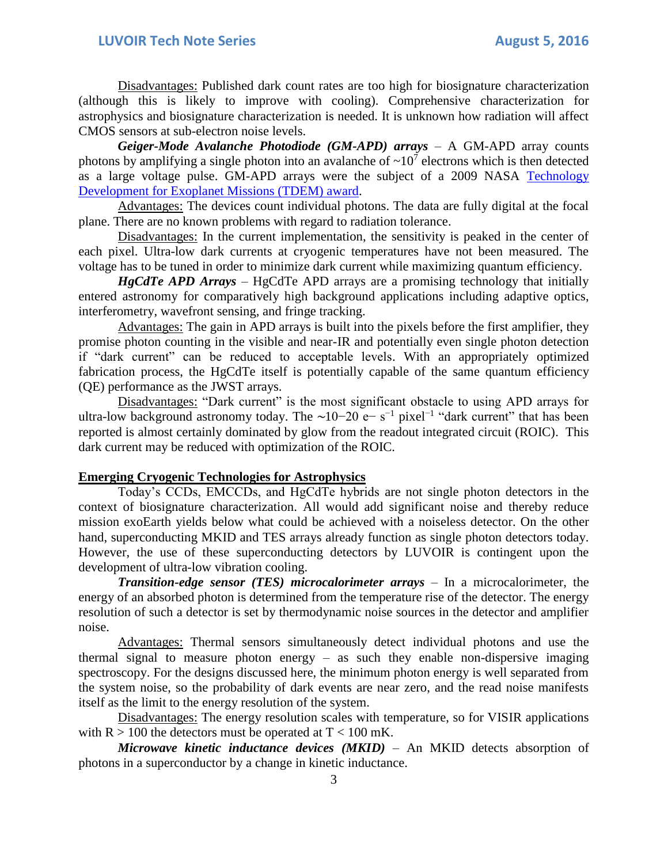Disadvantages: Published dark count rates are too high for biosignature characterization (although this is likely to improve with cooling). Comprehensive characterization for astrophysics and biosignature characterization is needed. It is unknown how radiation will affect CMOS sensors at sub-electron noise levels.

*Geiger-Mode Avalanche Photodiode (GM-APD) arrays* – A GM-APD array counts photons by amplifying a single photon into an avalanche of  $\sim 10^7$  electrons which is then detected as a large voltage pulse. GM-APD arrays were the subject of a 2009 NASA [Technology](https://exoplanets.nasa.gov/exep/technology/TDEMReportFiger.pdf)  [Development for Exoplanet Missions \(TDEM\) award.](https://exoplanets.nasa.gov/exep/technology/TDEMReportFiger.pdf)

Advantages: The devices count individual photons. The data are fully digital at the focal plane. There are no known problems with regard to radiation tolerance.

Disadvantages: In the current implementation, the sensitivity is peaked in the center of each pixel. Ultra-low dark currents at cryogenic temperatures have not been measured. The voltage has to be tuned in order to minimize dark current while maximizing quantum efficiency.

*HgCdTe APD Arrays* – HgCdTe APD arrays are a promising technology that initially entered astronomy for comparatively high background applications including adaptive optics, interferometry, wavefront sensing, and fringe tracking.

Advantages: The gain in APD arrays is built into the pixels before the first amplifier, they promise photon counting in the visible and near-IR and potentially even single photon detection if "dark current" can be reduced to acceptable levels. With an appropriately optimized fabrication process, the HgCdTe itself is potentially capable of the same quantum efficiency (QE) performance as the JWST arrays.

Disadvantages: "Dark current" is the most significant obstacle to using APD arrays for ultra-low background astronomy today. The ~10–20 e– s<sup>-1</sup> pixel<sup>-1</sup> "dark current" that has been reported is almost certainly dominated by glow from the readout integrated circuit (ROIC). This dark current may be reduced with optimization of the ROIC.

## **Emerging Cryogenic Technologies for Astrophysics**

Today's CCDs, EMCCDs, and HgCdTe hybrids are not single photon detectors in the context of biosignature characterization. All would add significant noise and thereby reduce mission exoEarth yields below what could be achieved with a noiseless detector. On the other hand, superconducting MKID and TES arrays already function as single photon detectors today. However, the use of these superconducting detectors by LUVOIR is contingent upon the development of ultra-low vibration cooling.

*Transition-edge sensor (TES) microcalorimeter arrays* – In a microcalorimeter, the energy of an absorbed photon is determined from the temperature rise of the detector. The energy resolution of such a detector is set by thermodynamic noise sources in the detector and amplifier noise.

Advantages: Thermal sensors simultaneously detect individual photons and use the thermal signal to measure photon energy – as such they enable non-dispersive imaging spectroscopy. For the designs discussed here, the minimum photon energy is well separated from the system noise, so the probability of dark events are near zero, and the read noise manifests itself as the limit to the energy resolution of the system.

Disadvantages: The energy resolution scales with temperature, so for VISIR applications with  $R > 100$  the detectors must be operated at  $T < 100$  mK.

*Microwave kinetic inductance devices (MKID)* – An MKID detects absorption of photons in a superconductor by a change in kinetic inductance.